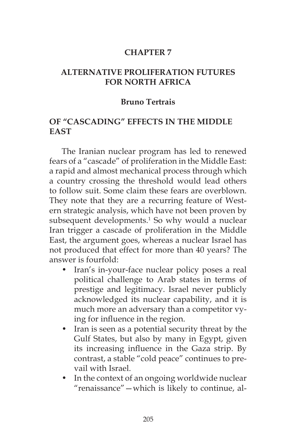## **CHAPTER 7**

## **ALTERNATIVE PROLIFERATION FUTURES FOR NORTH AFRICA**

### **Bruno Tertrais**

# **OF "CASCADING" EFFECTS IN THE MIDDLE EAST**

The Iranian nuclear program has led to renewed fears of a "cascade" of proliferation in the Middle East: a rapid and almost mechanical process through which a country crossing the threshold would lead others to follow suit. Some claim these fears are overblown. They note that they are a recurring feature of Western strategic analysis, which have not been proven by subsequent developments.<sup>1</sup> So why would a nuclear Iran trigger a cascade of proliferation in the Middle East, the argument goes, whereas a nuclear Israel has not produced that effect for more than 40 years? The answer is fourfold:

- Iran's in-your-face nuclear policy poses a real political challenge to Arab states in terms of prestige and legitimacy. Israel never publicly acknowledged its nuclear capability, and it is much more an adversary than a competitor vying for influence in the region.
- Iran is seen as a potential security threat by the Gulf States, but also by many in Egypt, given its increasing influence in the Gaza strip. By contrast, a stable "cold peace" continues to prevail with Israel.
- In the context of an ongoing worldwide nuclear "renaissance"—which is likely to continue, al-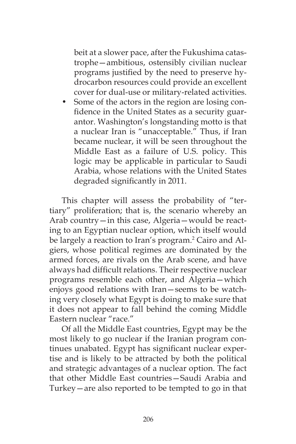beit at a slower pace, after the Fukushima catastrophe—ambitious, ostensibly civilian nuclear programs justified by the need to preserve hydrocarbon resources could provide an excellent cover for dual-use or military-related activities.

Some of the actors in the region are losing confidence in the United States as a security guarantor. Washington's longstanding motto is that a nuclear Iran is "unacceptable." Thus, if Iran became nuclear, it will be seen throughout the Middle East as a failure of U.S. policy. This logic may be applicable in particular to Saudi Arabia, whose relations with the United States degraded significantly in 2011.

This chapter will assess the probability of "tertiary" proliferation; that is, the scenario whereby an Arab country—in this case, Algeria—would be reacting to an Egyptian nuclear option, which itself would be largely a reaction to Iran's program.<sup>2</sup> Cairo and Algiers, whose political regimes are dominated by the armed forces, are rivals on the Arab scene, and have always had difficult relations. Their respective nuclear programs resemble each other, and Algeria—which enjoys good relations with Iran—seems to be watching very closely what Egypt is doing to make sure that it does not appear to fall behind the coming Middle Eastern nuclear "race."

Of all the Middle East countries, Egypt may be the most likely to go nuclear if the Iranian program continues unabated. Egypt has significant nuclear expertise and is likely to be attracted by both the political and strategic advantages of a nuclear option. The fact that other Middle East countries—Saudi Arabia and Turkey—are also reported to be tempted to go in that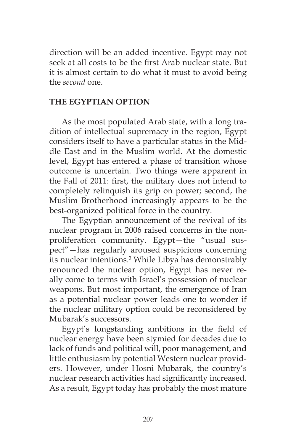direction will be an added incentive. Egypt may not seek at all costs to be the first Arab nuclear state. But it is almost certain to do what it must to avoid being the *second* one.

### **THE EGYPTIAN OPTION**

As the most populated Arab state, with a long tradition of intellectual supremacy in the region, Egypt considers itself to have a particular status in the Middle East and in the Muslim world. At the domestic level, Egypt has entered a phase of transition whose outcome is uncertain. Two things were apparent in the Fall of 2011: first, the military does not intend to completely relinquish its grip on power; second, the Muslim Brotherhood increasingly appears to be the best-organized political force in the country.

The Egyptian announcement of the revival of its nuclear program in 2006 raised concerns in the nonproliferation community. Egypt—the "usual suspect"—has regularly aroused suspicions concerning its nuclear intentions.3 While Libya has demonstrably renounced the nuclear option, Egypt has never really come to terms with Israel's possession of nuclear weapons. But most important, the emergence of Iran as a potential nuclear power leads one to wonder if the nuclear military option could be reconsidered by Mubarak's successors.

Egypt's longstanding ambitions in the field of nuclear energy have been stymied for decades due to lack of funds and political will, poor management, and little enthusiasm by potential Western nuclear providers. However, under Hosni Mubarak, the country's nuclear research activities had significantly increased. As a result, Egypt today has probably the most mature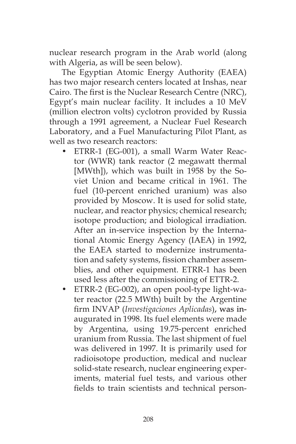nuclear research program in the Arab world (along with Algeria, as will be seen below).

The Egyptian Atomic Energy Authority (EAEA) has two major research centers located at Inshas, near Cairo. The first is the Nuclear Research Centre (NRC), Egypt's main nuclear facility. It includes a 10 MeV (million electron volts) cyclotron provided by Russia through a 1991 agreement, a Nuclear Fuel Research Laboratory, and a Fuel Manufacturing Pilot Plant, as well as two research reactors:

- ETRR-1 (EG-001), a small Warm Water Reactor (WWR) tank reactor (2 megawatt thermal [MWth]), which was built in 1958 by the Soviet Union and became critical in 1961. The fuel (10-percent enriched uranium) was also provided by Moscow. It is used for solid state, nuclear, and reactor physics; chemical research; isotope production; and biological irradiation. After an in-service inspection by the International Atomic Energy Agency (IAEA) in 1992, the EAEA started to modernize instrumentation and safety systems, fission chamber assemblies, and other equipment. ETRR-1 has been used less after the commissioning of ETTR-2.
- ETRR-2 (EG-002), an open pool-type light-water reactor (22.5 MWth) built by the Argentine firm INVAP (*Investigaciones Aplicadas*), was inaugurated in 1998. Its fuel elements were made by Argentina, using 19.75-percent enriched uranium from Russia. The last shipment of fuel was delivered in 1997. It is primarily used for radioisotope production, medical and nuclear solid-state research, nuclear engineering experiments, material fuel tests, and various other fields to train scientists and technical person-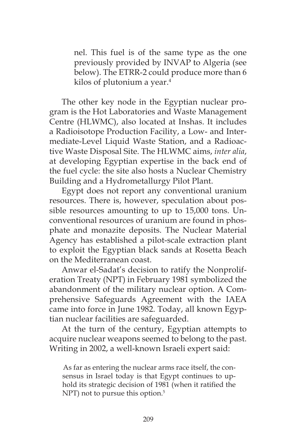nel. This fuel is of the same type as the one previously provided by INVAP to Algeria (see below). The ETRR-2 could produce more than 6 kilos of plutonium a year.4

The other key node in the Egyptian nuclear program is the Hot Laboratories and Waste Management Centre (HLWMC), also located at Inshas. It includes a Radioisotope Production Facility, a Low- and Intermediate-Level Liquid Waste Station, and a Radioactive Waste Disposal Site. The HLWMC aims, *inter alia*, at developing Egyptian expertise in the back end of the fuel cycle: the site also hosts a Nuclear Chemistry Building and a Hydrometallurgy Pilot Plant.

Egypt does not report any conventional uranium resources. There is, however, speculation about possible resources amounting to up to 15,000 tons. Unconventional resources of uranium are found in phosphate and monazite deposits. The Nuclear Material Agency has established a pilot-scale extraction plant to exploit the Egyptian black sands at Rosetta Beach on the Mediterranean coast.

Anwar el-Sadat's decision to ratify the Nonproliferation Treaty (NPT) in February 1981 symbolized the abandonment of the military nuclear option. A Comprehensive Safeguards Agreement with the IAEA came into force in June 1982. Today, all known Egyptian nuclear facilities are safeguarded.

At the turn of the century, Egyptian attempts to acquire nuclear weapons seemed to belong to the past. Writing in 2002, a well-known Israeli expert said:

As far as entering the nuclear arms race itself, the consensus in Israel today is that Egypt continues to uphold its strategic decision of 1981 (when it ratified the NPT) not to pursue this option.<sup>5</sup>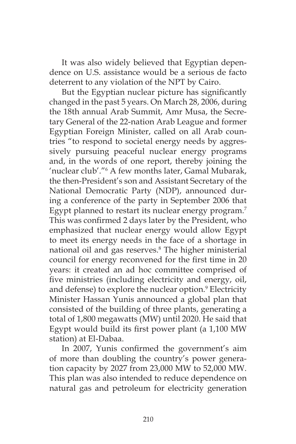It was also widely believed that Egyptian dependence on U.S. assistance would be a serious de facto deterrent to any violation of the NPT by Cairo.

But the Egyptian nuclear picture has significantly changed in the past 5 years. On March 28, 2006, during the 18th annual Arab Summit, Amr Musa, the Secretary General of the 22-nation Arab League and former Egyptian Foreign Minister, called on all Arab countries "to respond to societal energy needs by aggressively pursuing peaceful nuclear energy programs and, in the words of one report, thereby joining the 'nuclear club'."6 A few months later, Gamal Mubarak, the then-President's son and Assistant Secretary of the National Democratic Party (NDP), announced during a conference of the party in September 2006 that Egypt planned to restart its nuclear energy program.<sup>7</sup> This was confirmed 2 days later by the President, who emphasized that nuclear energy would allow Egypt to meet its energy needs in the face of a shortage in national oil and gas reserves.8 The higher ministerial council for energy reconvened for the first time in 20 years: it created an ad hoc committee comprised of five ministries (including electricity and energy, oil, and defense) to explore the nuclear option.<sup>9</sup> Electricity Minister Hassan Yunis announced a global plan that consisted of the building of three plants, generating a total of 1,800 megawatts (MW) until 2020. He said that Egypt would build its first power plant (a 1,100 MW station) at El-Dabaa.

In 2007, Yunis confirmed the government's aim of more than doubling the country's power generation capacity by 2027 from 23,000 MW to 52,000 MW. This plan was also intended to reduce dependence on natural gas and petroleum for electricity generation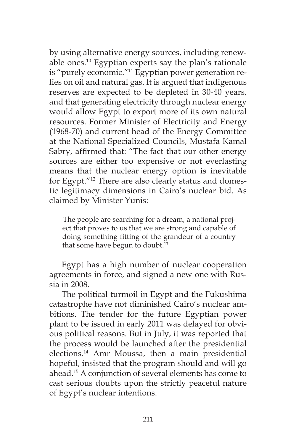by using alternative energy sources, including renewable ones.10 Egyptian experts say the plan's rationale is "purely economic."11 Egyptian power generation relies on oil and natural gas. It is argued that indigenous reserves are expected to be depleted in 30-40 years, and that generating electricity through nuclear energy would allow Egypt to export more of its own natural resources. Former Minister of Electricity and Energy (1968-70) and current head of the Energy Committee at the National Specialized Councils, Mustafa Kamal Sabry, affirmed that: "The fact that our other energy sources are either too expensive or not everlasting means that the nuclear energy option is inevitable for Egypt."12 There are also clearly status and domestic legitimacy dimensions in Cairo's nuclear bid. As claimed by Minister Yunis:

The people are searching for a dream, a national project that proves to us that we are strong and capable of doing something fitting of the grandeur of a country that some have begun to doubt.<sup>13</sup>

Egypt has a high number of nuclear cooperation agreements in force, and signed a new one with Russia in 2008.

The political turmoil in Egypt and the Fukushima catastrophe have not diminished Cairo's nuclear ambitions. The tender for the future Egyptian power plant to be issued in early 2011 was delayed for obvious political reasons. But in July, it was reported that the process would be launched after the presidential elections.14 Amr Moussa, then a main presidential hopeful, insisted that the program should and will go ahead.15 A conjunction of several elements has come to cast serious doubts upon the strictly peaceful nature of Egypt's nuclear intentions.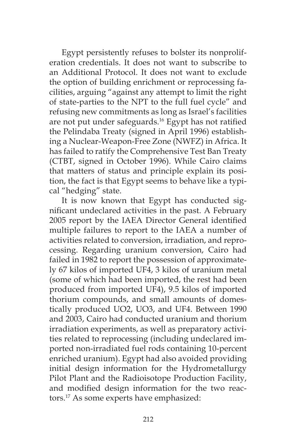Egypt persistently refuses to bolster its nonproliferation credentials. It does not want to subscribe to an Additional Protocol. It does not want to exclude the option of building enrichment or reprocessing facilities, arguing "against any attempt to limit the right of state-parties to the NPT to the full fuel cycle" and refusing new commitments as long as Israel's facilities are not put under safeguards.<sup>16</sup> Egypt has not ratified the Pelindaba Treaty (signed in April 1996) establishing a Nuclear-Weapon-Free Zone (NWFZ) in Africa. It has failed to ratify the Comprehensive Test Ban Treaty (CTBT, signed in October 1996). While Cairo claims that matters of status and principle explain its position, the fact is that Egypt seems to behave like a typical "hedging" state.

It is now known that Egypt has conducted significant undeclared activities in the past. A February 2005 report by the IAEA Director General identified multiple failures to report to the IAEA a number of activities related to conversion, irradiation, and reprocessing. Regarding uranium conversion, Cairo had failed in 1982 to report the possession of approximately 67 kilos of imported UF4, 3 kilos of uranium metal (some of which had been imported, the rest had been produced from imported UF4), 9.5 kilos of imported thorium compounds, and small amounts of domestically produced UO2, UO3, and UF4. Between 1990 and 2003, Cairo had conducted uranium and thorium irradiation experiments, as well as preparatory activities related to reprocessing (including undeclared imported non-irradiated fuel rods containing 10-percent enriched uranium). Egypt had also avoided providing initial design information for the Hydrometallurgy Pilot Plant and the Radioisotope Production Facility, and modified design information for the two reactors.17 As some experts have emphasized: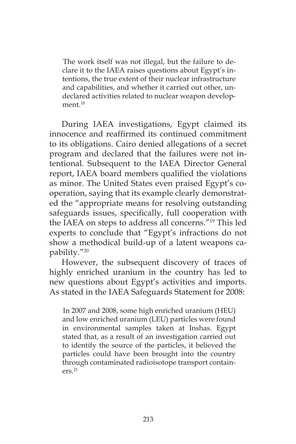The work itself was not illegal, but the failure to declare it to the IAEA raises questions about Egypt's intentions, the true extent of their nuclear infrastructure and capabilities, and whether it carried out other, undeclared activities related to nuclear weapon development.<sup>18</sup>

During IAEA investigations, Egypt claimed its innocence and reaffirmed its continued commitment to its obligations. Cairo denied allegations of a secret program and declared that the failures were not intentional. Subsequent to the IAEA Director General report, IAEA board members qualified the violations as minor. The United States even praised Egypt's cooperation, saying that its example clearly demonstrated the "appropriate means for resolving outstanding safeguards issues, specifically, full cooperation with the IAEA on steps to address all concerns."19 This led experts to conclude that "Egypt's infractions do not show a methodical build-up of a latent weapons capability."20

However, the subsequent discovery of traces of highly enriched uranium in the country has led to new questions about Egypt's activities and imports. As stated in the IAEA Safeguards Statement for 2008:

In 2007 and 2008, some high enriched uranium (HEU) and low enriched uranium (LEU) particles were found in environmental samples taken at Inshas. Egypt stated that, as a result of an investigation carried out to identify the source of the particles, it believed the particles could have been brought into the country through contaminated radioisotope transport contain $ers<sup>21</sup>$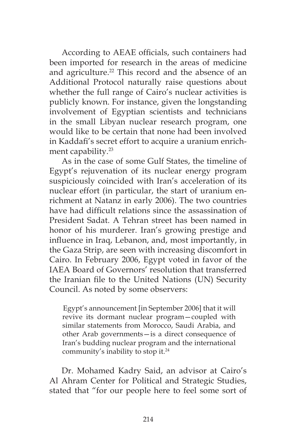According to AEAE officials, such containers had been imported for research in the areas of medicine and agriculture.<sup>22</sup> This record and the absence of an Additional Protocol naturally raise questions about whether the full range of Cairo's nuclear activities is publicly known. For instance, given the longstanding involvement of Egyptian scientists and technicians in the small Libyan nuclear research program, one would like to be certain that none had been involved in Kaddafi's secret effort to acquire a uranium enrichment capability.<sup>23</sup>

As in the case of some Gulf States, the timeline of Egypt's rejuvenation of its nuclear energy program suspiciously coincided with Iran's acceleration of its nuclear effort (in particular, the start of uranium enrichment at Natanz in early 2006). The two countries have had difficult relations since the assassination of President Sadat. A Tehran street has been named in honor of his murderer. Iran's growing prestige and influence in Iraq, Lebanon, and, most importantly, in the Gaza Strip, are seen with increasing discomfort in Cairo. In February 2006, Egypt voted in favor of the IAEA Board of Governors' resolution that transferred the Iranian file to the United Nations (UN) Security Council. As noted by some observers:

Egypt's announcement [in September 2006] that it will revive its dormant nuclear program—coupled with similar statements from Morocco, Saudi Arabia, and other Arab governments—is a direct consequence of Iran's budding nuclear program and the international community's inability to stop it.24

Dr. Mohamed Kadry Said, an advisor at Cairo's Al Ahram Center for Political and Strategic Studies, stated that "for our people here to feel some sort of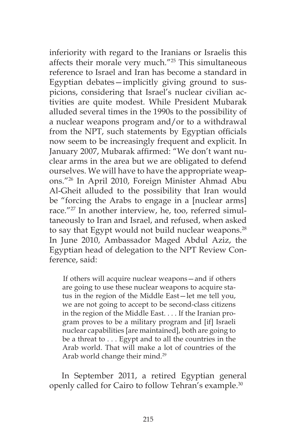inferiority with regard to the Iranians or Israelis this affects their morale very much."25 This simultaneous reference to Israel and Iran has become a standard in Egyptian debates—implicitly giving ground to suspicions, considering that Israel's nuclear civilian activities are quite modest. While President Mubarak alluded several times in the 1990s to the possibility of a nuclear weapons program and/or to a withdrawal from the NPT, such statements by Egyptian officials now seem to be increasingly frequent and explicit. In January 2007, Mubarak affirmed: "We don't want nuclear arms in the area but we are obligated to defend ourselves. We will have to have the appropriate weapons."26 In April 2010, Foreign Minister Ahmad Abu Al-Gheit alluded to the possibility that Iran would be "forcing the Arabs to engage in a [nuclear arms] race."27 In another interview, he, too, referred simultaneously to Iran and Israel, and refused, when asked to say that Egypt would not build nuclear weapons.<sup>28</sup> In June 2010, Ambassador Maged Abdul Aziz, the Egyptian head of delegation to the NPT Review Conference, said:

If others will acquire nuclear weapons—and if others are going to use these nuclear weapons to acquire status in the region of the Middle East—let me tell you, we are not going to accept to be second-class citizens in the region of the Middle East. . . . If the Iranian program proves to be a military program and [if] Israeli nuclear capabilities [are maintained], both are going to be a threat to . . . Egypt and to all the countries in the Arab world. That will make a lot of countries of the Arab world change their mind.<sup>29</sup>

In September 2011, a retired Egyptian general openly called for Cairo to follow Tehran's example.<sup>30</sup>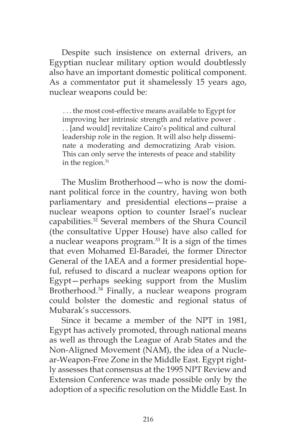Despite such insistence on external drivers, an Egyptian nuclear military option would doubtlessly also have an important domestic political component. As a commentator put it shamelessly 15 years ago, nuclear weapons could be:

. . . the most cost-effective means available to Egypt for improving her intrinsic strength and relative power . . . [and would] revitalize Cairo's political and cultural leadership role in the region. It will also help disseminate a moderating and democratizing Arab vision. This can only serve the interests of peace and stability in the region. $31$ 

The Muslim Brotherhood—who is now the dominant political force in the country, having won both parliamentary and presidential elections—praise a nuclear weapons option to counter Israel's nuclear capabilities.<sup>32</sup> Several members of the Shura Council (the consultative Upper House) have also called for a nuclear weapons program. $33$  It is a sign of the times that even Mohamed El-Baradei, the former Director General of the IAEA and a former presidential hopeful, refused to discard a nuclear weapons option for Egypt—perhaps seeking support from the Muslim Brotherhood.<sup>34</sup> Finally, a nuclear weapons program could bolster the domestic and regional status of Mubarak's successors.

Since it became a member of the NPT in 1981, Egypt has actively promoted, through national means as well as through the League of Arab States and the Non-Aligned Movement (NAM), the idea of a Nuclear-Weapon-Free Zone in the Middle East. Egypt rightly assesses that consensus at the 1995 NPT Review and Extension Conference was made possible only by the adoption of a specific resolution on the Middle East. In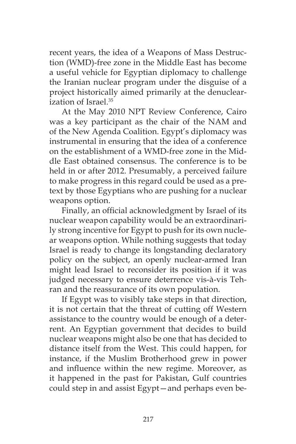recent years, the idea of a Weapons of Mass Destruction (WMD)-free zone in the Middle East has become a useful vehicle for Egyptian diplomacy to challenge the Iranian nuclear program under the disguise of a project historically aimed primarily at the denuclearization of Israel.35

At the May 2010 NPT Review Conference, Cairo was a key participant as the chair of the NAM and of the New Agenda Coalition. Egypt's diplomacy was instrumental in ensuring that the idea of a conference on the establishment of a WMD-free zone in the Middle East obtained consensus. The conference is to be held in or after 2012. Presumably, a perceived failure to make progress in this regard could be used as a pretext by those Egyptians who are pushing for a nuclear weapons option.

Finally, an official acknowledgment by Israel of its nuclear weapon capability would be an extraordinarily strong incentive for Egypt to push for its own nuclear weapons option. While nothing suggests that today Israel is ready to change its longstanding declaratory policy on the subject, an openly nuclear-armed Iran might lead Israel to reconsider its position if it was judged necessary to ensure deterrence vis-à-vis Tehran and the reassurance of its own population.

If Egypt was to visibly take steps in that direction, it is not certain that the threat of cutting off Western assistance to the country would be enough of a deterrent. An Egyptian government that decides to build nuclear weapons might also be one that has decided to distance itself from the West. This could happen, for instance, if the Muslim Brotherhood grew in power and influence within the new regime. Moreover, as it happened in the past for Pakistan, Gulf countries could step in and assist Egypt—and perhaps even be-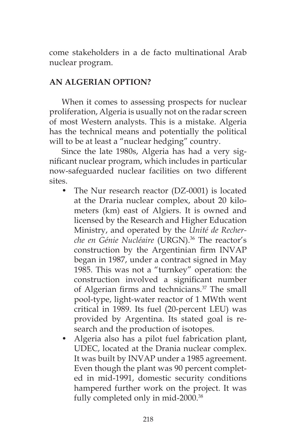come stakeholders in a de facto multinational Arab nuclear program.

# **AN ALGERIAN OPTION?**

When it comes to assessing prospects for nuclear proliferation, Algeria is usually not on the radar screen of most Western analysts. This is a mistake. Algeria has the technical means and potentially the political will to be at least a "nuclear hedging" country.

Since the late 1980s, Algeria has had a very significant nuclear program, which includes in particular now-safeguarded nuclear facilities on two different sites.

- The Nur research reactor (DZ-0001) is located at the Draria nuclear complex, about 20 kilometers (km) east of Algiers. It is owned and licensed by the Research and Higher Education Ministry, and operated by the *Unité de Recherche en Génie Nucléaire* (URGN).36 The reactor's construction by the Argentinian firm INVAP began in 1987, under a contract signed in May 1985. This was not a "turnkey" operation: the construction involved a significant number of Algerian firms and technicians.<sup>37</sup> The small pool-type, light-water reactor of 1 MWth went critical in 1989. Its fuel (20-percent LEU) was provided by Argentina. Its stated goal is research and the production of isotopes.
- Algeria also has a pilot fuel fabrication plant, UDEC, located at the Drania nuclear complex. It was built by INVAP under a 1985 agreement. Even though the plant was 90 percent completed in mid-1991, domestic security conditions hampered further work on the project. It was fully completed only in mid-2000.<sup>38</sup>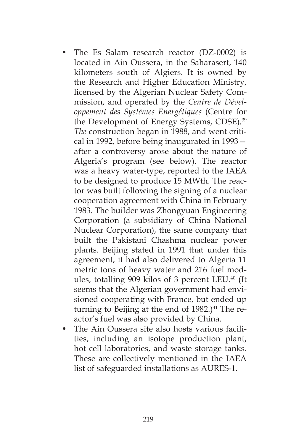- The Es Salam research reactor (DZ-0002) is located in Ain Oussera, in the Saharasert, 140 kilometers south of Algiers. It is owned by the Research and Higher Education Ministry, licensed by the Algerian Nuclear Safety Commission, and operated by the *Centre de Développement des Systèmes Energétiques* (Centre for the Development of Energy Systems, CDSE)*.* 39 *The* construction began in 1988, and went critical in 1992, before being inaugurated in 1993 after a controversy arose about the nature of Algeria's program (see below). The reactor was a heavy water-type, reported to the IAEA to be designed to produce 15 MWth. The reactor was built following the signing of a nuclear cooperation agreement with China in February 1983. The builder was Zhongyuan Engineering Corporation (a subsidiary of China National Nuclear Corporation), the same company that built the Pakistani Chashma nuclear power plants. Beijing stated in 1991 that under this agreement, it had also delivered to Algeria 11 metric tons of heavy water and 216 fuel modules, totalling 909 kilos of 3 percent LEU.<sup>40</sup> (It seems that the Algerian government had envisioned cooperating with France, but ended up turning to Beijing at the end of  $1982$ .)<sup>41</sup> The reactor's fuel was also provided by China.
- The Ain Oussera site also hosts various facilities, including an isotope production plant, hot cell laboratories, and waste storage tanks. These are collectively mentioned in the IAEA list of safeguarded installations as AURES-1.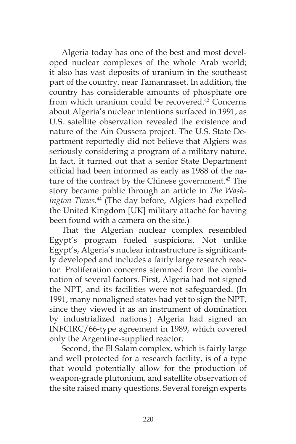Algeria today has one of the best and most developed nuclear complexes of the whole Arab world; it also has vast deposits of uranium in the southeast part of the country, near Tamanrasset. In addition, the country has considerable amounts of phosphate ore from which uranium could be recovered.<sup>42</sup> Concerns about Algeria's nuclear intentions surfaced in 1991, as U.S. satellite observation revealed the existence and nature of the Ain Oussera project. The U.S. State Department reportedly did not believe that Algiers was seriously considering a program of a military nature. In fact, it turned out that a senior State Department official had been informed as early as 1988 of the nature of the contract by the Chinese government.<sup>43</sup> The story became public through an article in *The Washington Times.*<sup>44</sup> (The day before, Algiers had expelled the United Kingdom [UK] military attaché for having been found with a camera on the site.)

That the Algerian nuclear complex resembled Egypt's program fueled suspicions. Not unlike Egypt's, Algeria's nuclear infrastructure is significantly developed and includes a fairly large research reactor. Proliferation concerns stemmed from the combination of several factors. First, Algeria had not signed the NPT, and its facilities were not safeguarded. (In 1991, many nonaligned states had yet to sign the NPT, since they viewed it as an instrument of domination by industrialized nations.) Algeria had signed an INFCIRC/66-type agreement in 1989, which covered only the Argentine-supplied reactor.

Second, the El Salam complex, which is fairly large and well protected for a research facility, is of a type that would potentially allow for the production of weapon-grade plutonium, and satellite observation of the site raised many questions. Several foreign experts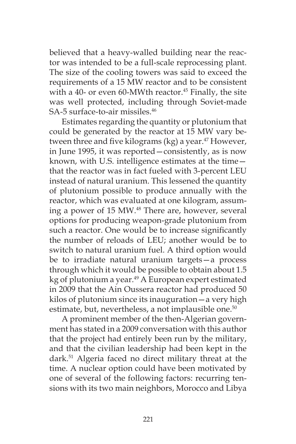believed that a heavy-walled building near the reactor was intended to be a full-scale reprocessing plant. The size of the cooling towers was said to exceed the requirements of a 15 MW reactor and to be consistent with a 40- or even 60-MWth reactor. $45$  Finally, the site was well protected, including through Soviet-made SA-5 surface-to-air missiles.<sup>46</sup>

Estimates regarding the quantity or plutonium that could be generated by the reactor at 15 MW vary between three and five kilograms (kg) a year. $47$  However, in June 1995, it was reported—consistently, as is now known, with U.S. intelligence estimates at the time that the reactor was in fact fueled with 3-percent LEU instead of natural uranium. This lessened the quantity of plutonium possible to produce annually with the reactor, which was evaluated at one kilogram, assuming a power of 15 MW.<sup>48</sup> There are, however, several options for producing weapon-grade plutonium from such a reactor. One would be to increase significantly the number of reloads of LEU; another would be to switch to natural uranium fuel. A third option would be to irradiate natural uranium targets—a process through which it would be possible to obtain about 1.5 kg of plutonium a year.<sup>49</sup> A European expert estimated in 2009 that the Ain Oussera reactor had produced 50 kilos of plutonium since its inauguration—a very high estimate, but, nevertheless, a not implausible one.<sup>50</sup>

A prominent member of the then-Algerian government has stated in a 2009 conversation with this author that the project had entirely been run by the military, and that the civilian leadership had been kept in the dark.51 Algeria faced no direct military threat at the time. A nuclear option could have been motivated by one of several of the following factors: recurring tensions with its two main neighbors, Morocco and Libya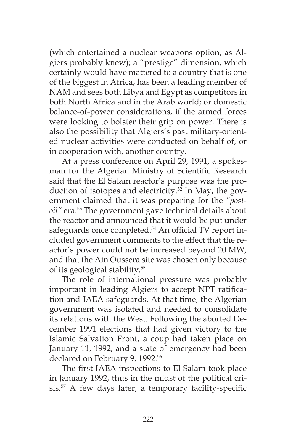(which entertained a nuclear weapons option, as Algiers probably knew); a "prestige" dimension, which certainly would have mattered to a country that is one of the biggest in Africa, has been a leading member of NAM and sees both Libya and Egypt as competitors in both North Africa and in the Arab world; or domestic balance-of-power considerations, if the armed forces were looking to bolster their grip on power. There is also the possibility that Algiers's past military-oriented nuclear activities were conducted on behalf of, or in cooperation with, another country.

At a press conference on April 29, 1991, a spokesman for the Algerian Ministry of Scientific Research said that the El Salam reactor's purpose was the production of isotopes and electricity.<sup>52</sup> In May, the government claimed that it was preparing for the *"postoil"* era.53 The government gave technical details about the reactor and announced that it would be put under safeguards once completed.<sup>54</sup> An official TV report included government comments to the effect that the reactor's power could not be increased beyond 20 MW, and that the Ain Oussera site was chosen only because of its geological stability.55

The role of international pressure was probably important in leading Algiers to accept NPT ratification and IAEA safeguards. At that time, the Algerian government was isolated and needed to consolidate its relations with the West. Following the aborted December 1991 elections that had given victory to the Islamic Salvation Front, a coup had taken place on January 11, 1992, and a state of emergency had been declared on February 9, 1992.<sup>56</sup>

The first IAEA inspections to El Salam took place in January 1992, thus in the midst of the political crisis.57 A few days later, a temporary facility-specific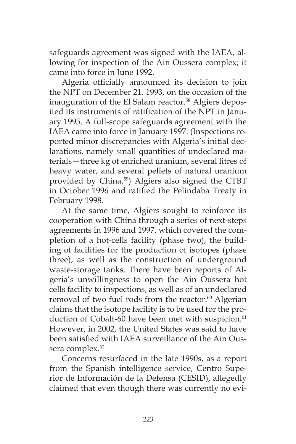safeguards agreement was signed with the IAEA, allowing for inspection of the Ain Oussera complex; it came into force in June 1992.

Algeria officially announced its decision to join the NPT on December 21, 1993, on the occasion of the inauguration of the El Salam reactor.<sup>58</sup> Algiers deposited its instruments of ratification of the NPT in January 1995. A full-scope safeguards agreement with the IAEA came into force in January 1997. (Inspections reported minor discrepancies with Algeria's initial declarations, namely small quantities of undeclared materials—three kg of enriched uranium, several litres of heavy water, and several pellets of natural uranium provided by China.<sup>59</sup>) Algiers also signed the CTBT in October 1996 and ratified the Pelindaba Treaty in February 1998.

At the same time, Algiers sought to reinforce its cooperation with China through a series of next-steps agreements in 1996 and 1997, which covered the completion of a hot-cells facility (phase two), the building of facilities for the production of isotopes (phase three), as well as the construction of underground waste-storage tanks. There have been reports of Algeria's unwillingness to open the Ain Oussera hot cells facility to inspections, as well as of an undeclared removal of two fuel rods from the reactor.<sup>60</sup> Algerian claims that the isotope facility is to be used for the production of Cobalt-60 have been met with suspicion.<sup>61</sup> However, in 2002, the United States was said to have been satisfied with IAEA surveillance of the Ain Oussera complex.<sup>62</sup>

Concerns resurfaced in the late 1990s, as a report from the Spanish intelligence service, Centro Superior de Información de la Defensa (CESID), allegedly claimed that even though there was currently no evi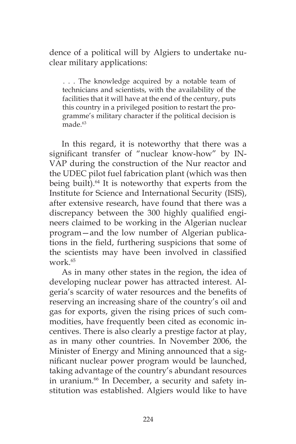dence of a political will by Algiers to undertake nuclear military applications:

. . . The knowledge acquired by a notable team of technicians and scientists, with the availability of the facilities that it will have at the end of the century, puts this country in a privileged position to restart the programme's military character if the political decision is made.<sup>63</sup>

In this regard, it is noteworthy that there was a significant transfer of "nuclear know-how" by IN-VAP during the construction of the Nur reactor and the UDEC pilot fuel fabrication plant (which was then being built).<sup>64</sup> It is noteworthy that experts from the Institute for Science and International Security (ISIS), after extensive research, have found that there was a discrepancy between the 300 highly qualified engineers claimed to be working in the Algerian nuclear program—and the low number of Algerian publications in the field, furthering suspicions that some of the scientists may have been involved in classified work $65$ 

As in many other states in the region, the idea of developing nuclear power has attracted interest. Algeria's scarcity of water resources and the benefits of reserving an increasing share of the country's oil and gas for exports, given the rising prices of such commodities, have frequently been cited as economic incentives. There is also clearly a prestige factor at play, as in many other countries. In November 2006, the Minister of Energy and Mining announced that a significant nuclear power program would be launched, taking advantage of the country's abundant resources in uranium.<sup>66</sup> In December, a security and safety institution was established. Algiers would like to have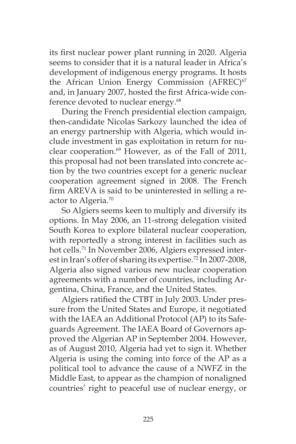its first nuclear power plant running in 2020. Algeria seems to consider that it is a natural leader in Africa's development of indigenous energy programs. It hosts the African Union Energy Commission (AFREC)<sup>67</sup> and, in January 2007, hosted the first Africa-wide conference devoted to nuclear energy.<sup>68</sup>

During the French presidential election campaign, then-candidate Nicolas Sarkozy launched the idea of an energy partnership with Algeria, which would include investment in gas exploitation in return for nuclear cooperation.<sup>69</sup> However, as of the Fall of 2011, this proposal had not been translated into concrete action by the two countries except for a generic nuclear cooperation agreement signed in 2008. The French firm AREVA is said to be uninterested in selling a reactor to Algeria.70

So Algiers seems keen to multiply and diversify its options. In May 2006, an 11-strong delegation visited South Korea to explore bilateral nuclear cooperation, with reportedly a strong interest in facilities such as hot cells.<sup>71</sup> In November 2006, Algiers expressed interest in Iran's offer of sharing its expertise.<sup>72</sup> In 2007-2008, Algeria also signed various new nuclear cooperation agreements with a number of countries, including Argentina, China, France, and the United States.

Algiers ratified the CTBT in July 2003. Under pressure from the United States and Europe, it negotiated with the IAEA an Additional Protocol (AP) to its Safeguards Agreement. The IAEA Board of Governors approved the Algerian AP in September 2004. However, as of August 2010, Algeria had yet to sign it. Whether Algeria is using the coming into force of the AP as a political tool to advance the cause of a NWFZ in the Middle East, to appear as the champion of nonaligned countries' right to peaceful use of nuclear energy, or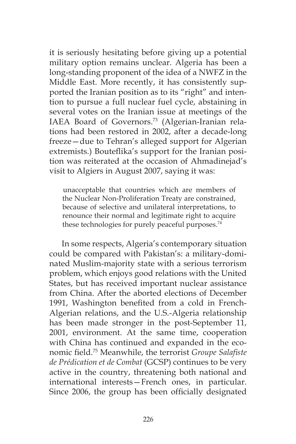it is seriously hesitating before giving up a potential military option remains unclear. Algeria has been a long-standing proponent of the idea of a NWFZ in the Middle East. More recently, it has consistently supported the Iranian position as to its "right" and intention to pursue a full nuclear fuel cycle, abstaining in several votes on the Iranian issue at meetings of the IAEA Board of Governors.<sup>73</sup> (Algerian-Iranian relations had been restored in 2002, after a decade-long freeze—due to Tehran's alleged support for Algerian extremists.) Bouteflika's support for the Iranian position was reiterated at the occasion of Ahmadinejad's visit to Algiers in August 2007, saying it was:

unacceptable that countries which are members of the Nuclear Non-Proliferation Treaty are constrained, because of selective and unilateral interpretations, to renounce their normal and legitimate right to acquire these technologies for purely peaceful purposes.<sup>74</sup>

In some respects, Algeria's contemporary situation could be compared with Pakistan's: a military-dominated Muslim-majority state with a serious terrorism problem, which enjoys good relations with the United States, but has received important nuclear assistance from China. After the aborted elections of December 1991, Washington benefited from a cold in French-Algerian relations, and the U.S.-Algeria relationship has been made stronger in the post-September 11, 2001, environment. At the same time, cooperation with China has continued and expanded in the economic field.75 Meanwhile, the terrorist *Groupe Salafiste de Prédication et de Combat* (GCSP) continues to be very active in the country, threatening both national and international interests—French ones, in particular. Since 2006, the group has been officially designated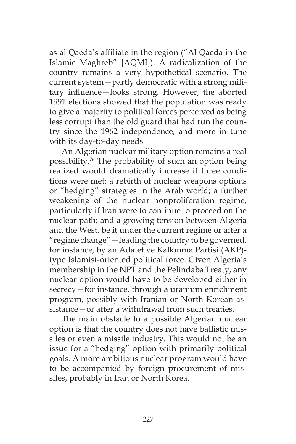as al Qaeda's affiliate in the region ("Al Qaeda in the Islamic Maghreb" [AQMI]). A radicalization of the country remains a very hypothetical scenario. The current system—partly democratic with a strong military influence—looks strong. However, the aborted 1991 elections showed that the population was ready to give a majority to political forces perceived as being less corrupt than the old guard that had run the country since the 1962 independence, and more in tune with its day-to-day needs.

An Algerian nuclear military option remains a real possibility.76 The probability of such an option being realized would dramatically increase if three conditions were met: a rebirth of nuclear weapons options or "hedging" strategies in the Arab world; a further weakening of the nuclear nonproliferation regime, particularly if Iran were to continue to proceed on the nuclear path; and a growing tension between Algeria and the West, be it under the current regime or after a "regime change"—leading the country to be governed, for instance, by an Adalet ve Kalkınma Partisi (AKP) type Islamist-oriented political force. Given Algeria's membership in the NPT and the Pelindaba Treaty, any nuclear option would have to be developed either in secrecy—for instance, through a uranium enrichment program, possibly with Iranian or North Korean assistance—or after a withdrawal from such treaties.

The main obstacle to a possible Algerian nuclear option is that the country does not have ballistic missiles or even a missile industry. This would not be an issue for a "hedging" option with primarily political goals. A more ambitious nuclear program would have to be accompanied by foreign procurement of missiles, probably in Iran or North Korea.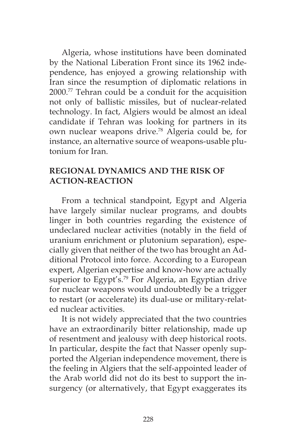Algeria, whose institutions have been dominated by the National Liberation Front since its 1962 independence, has enjoyed a growing relationship with Iran since the resumption of diplomatic relations in 2000.77 Tehran could be a conduit for the acquisition not only of ballistic missiles, but of nuclear-related technology. In fact, Algiers would be almost an ideal candidate if Tehran was looking for partners in its own nuclear weapons drive.78 Algeria could be, for instance, an alternative source of weapons-usable plutonium for Iran.

## **REGIONAL DYNAMICS AND THE RISK OF ACTION-REACTION**

From a technical standpoint, Egypt and Algeria have largely similar nuclear programs, and doubts linger in both countries regarding the existence of undeclared nuclear activities (notably in the field of uranium enrichment or plutonium separation), especially given that neither of the two has brought an Additional Protocol into force. According to a European expert, Algerian expertise and know-how are actually superior to Egypt's.<sup>79</sup> For Algeria, an Egyptian drive for nuclear weapons would undoubtedly be a trigger to restart (or accelerate) its dual-use or military-related nuclear activities.

It is not widely appreciated that the two countries have an extraordinarily bitter relationship, made up of resentment and jealousy with deep historical roots. In particular, despite the fact that Nasser openly supported the Algerian independence movement, there is the feeling in Algiers that the self-appointed leader of the Arab world did not do its best to support the insurgency (or alternatively, that Egypt exaggerates its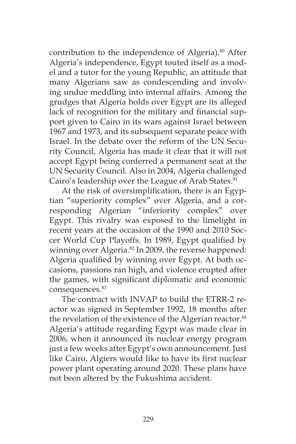contribution to the independence of Algeria).<sup>80</sup> After Algeria's independence, Egypt touted itself as a model and a tutor for the young Republic, an attitude that many Algerians saw as condescending and involving undue meddling into internal affairs. Among the grudges that Algeria holds over Egypt are its alleged lack of recognition for the military and financial support given to Cairo in its wars against Israel between 1967 and 1973, and its subsequent separate peace with Israel. In the debate over the reform of the UN Security Council, Algeria has made it clear that it will not accept Egypt being conferred a permanent seat at the UN Security Council. Also in 2004, Algeria challenged Cairo's leadership over the League of Arab States.<sup>81</sup>

At the risk of oversimplification, there is an Egyptian "superiority complex" over Algeria, and a corresponding Algerian "inferiority complex" over Egypt. This rivalry was exposed to the limelight in recent years at the occasion of the 1990 and 2010 Soccer World Cup Playoffs. In 1989, Egypt qualified by winning over Algeria.<sup>82</sup> In 2009, the reverse happened: Algeria qualified by winning over Egypt. At both occasions, passions ran high, and violence erupted after the games, with significant diplomatic and economic consequences.<sup>83</sup>

The contract with INVAP to build the ETRR-2 reactor was signed in September 1992, 18 months after the revelation of the existence of the Algerian reactor.<sup>84</sup> Algeria's attitude regarding Egypt was made clear in 2006, when it announced its nuclear energy program just a few weeks after Egypt's own announcement. Just like Cairo, Algiers would like to have its first nuclear power plant operating around 2020. These plans have not been altered by the Fukushima accident.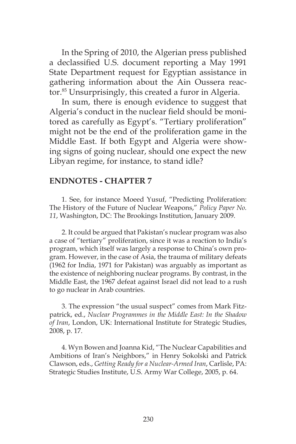In the Spring of 2010, the Algerian press published a declassified U.S. document reporting a May 1991 State Department request for Egyptian assistance in gathering information about the Ain Oussera reactor.<sup>85</sup> Unsurprisingly, this created a furor in Algeria.

In sum, there is enough evidence to suggest that Algeria's conduct in the nuclear field should be monitored as carefully as Egypt's. "Tertiary proliferation" might not be the end of the proliferation game in the Middle East. If both Egypt and Algeria were showing signs of going nuclear, should one expect the new Libyan regime, for instance, to stand idle?

#### **ENDNOTES - CHAPTER 7**

1. See, for instance Moeed Yusuf, "Predicting Proliferation: The History of the Future of Nuclear Weapons," *Policy Paper No. 11*, Washington, DC: The Brookings Institution, January 2009.

2. It could be argued that Pakistan's nuclear program was also a case of "tertiary" proliferation, since it was a reaction to India's program, which itself was largely a response to China's own program. However, in the case of Asia, the trauma of military defeats (1962 for India, 1971 for Pakistan) was arguably as important as the existence of neighboring nuclear programs. By contrast, in the Middle East, the 1967 defeat against Israel did not lead to a rush to go nuclear in Arab countries.

3. The expression "the usual suspect" comes from Mark Fitzpatrick, ed., *Nuclear Programmes in the Middle East: In the Shadow of Iran*, London, UK: International Institute for Strategic Studies, 2008, p. 17.

4. Wyn Bowen and Joanna Kid, "The Nuclear Capabilities and Ambitions of Iran's Neighbors," in Henry Sokolski and Patrick Clawson, eds., *Getting Ready for a Nuclear-Armed Iran*, Carlisle, PA: Strategic Studies Institute, U.S. Army War College, 2005, p. 64.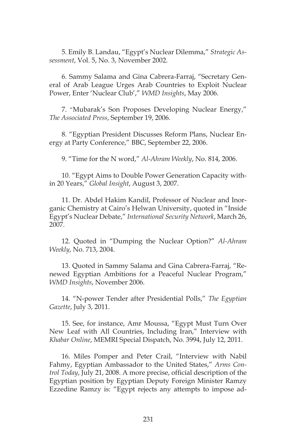5. Emily B. Landau, "Egypt's Nuclear Dilemma," *Strategic Assessment*, Vol. 5, No. 3, November 2002.

6. Sammy Salama and Gina Cabrera-Farraj, "Secretary General of Arab League Urges Arab Countries to Exploit Nuclear Power, Enter 'Nuclear Club'," *WMD Insights*, May 2006.

7. "Mubarak's Son Proposes Developing Nuclear Energy," *The Associated Press*, September 19, 2006.

8. "Egyptian President Discusses Reform Plans, Nuclear Energy at Party Conference," BBC, September 22, 2006.

9. "Time for the N word," *Al-Ahram Weekly*, No. 814, 2006.

10. "Egypt Aims to Double Power Generation Capacity within 20 Years," *Global Insight*, August 3, 2007.

11. Dr. Abdel Hakim Kandil, Professor of Nuclear and Inorganic Chemistry at Cairo's Helwan University, quoted in "Inside Egypt's Nuclear Debate," *International Security Network*, March 26, 2007.

12. Quoted in "Dumping the Nuclear Option?" *Al-Ahram Weekly*, No. 713, 2004.

13. Quoted in Sammy Salama and Gina Cabrera-Farraj, "Renewed Egyptian Ambitions for a Peaceful Nuclear Program," *WMD Insights*, November 2006.

14. "N-power Tender after Presidential Polls," *The Egyptian Gazette*, July 3, 2011.

15. See, for instance, Amr Moussa, "Egypt Must Turn Over New Leaf with All Countries, Including Iran," Interview with *Khabar Online*, MEMRI Special Dispatch, No. 3994, July 12, 2011.

16. Miles Pomper and Peter Crail, "Interview with Nabil Fahmy, Egyptian Ambassador to the United States," *Arms Control Today*, July 21, 2008. A more precise, official description of the Egyptian position by Egyptian Deputy Foreign Minister Ramzy Ezzedine Ramzy is: "Egypt rejects any attempts to impose ad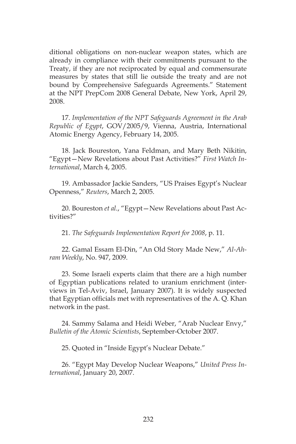ditional obligations on non-nuclear weapon states, which are already in compliance with their commitments pursuant to the Treaty, if they are not reciprocated by equal and commensurate measures by states that still lie outside the treaty and are not bound by Comprehensive Safeguards Agreements." Statement at the NPT PrepCom 2008 General Debate, New York, April 29, 2008.

17. *Implementation of the NPT Safeguards Agreement in the Arab Republic of Egypt*, GOV/2005/9, Vienna, Austria, International Atomic Energy Agency, February 14, 2005.

18. Jack Boureston, Yana Feldman, and Mary Beth Nikitin, "Egypt—New Revelations about Past Activities?" *First Watch International*, March 4, 2005.

19. Ambassador Jackie Sanders, "US Praises Egypt's Nuclear Openness," *Reuters*, March 2, 2005.

20. Boureston *et al*., "Egypt—New Revelations about Past Activities?"

21. *The Safeguards Implementation Report for 2008*, p. 11.

22. Gamal Essam El-Din, "An Old Story Made New," *Al-Ahram Weekly*, No. 947, 2009.

23. Some Israeli experts claim that there are a high number of Egyptian publications related to uranium enrichment (interviews in Tel-Aviv, Israel, January 2007). It is widely suspected that Egyptian officials met with representatives of the A. Q. Khan network in the past.

24. Sammy Salama and Heidi Weber, "Arab Nuclear Envy," *Bulletin of the Atomic Scientists*, September-October 2007.

25. Quoted in "Inside Egypt's Nuclear Debate."

26. "Egypt May Develop Nuclear Weapons," *United Press International*, January 20, 2007.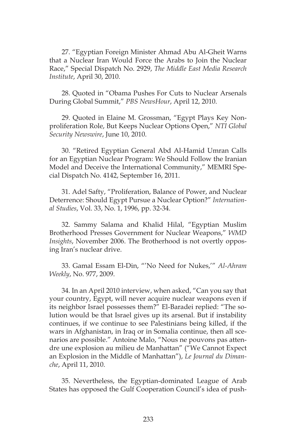27. "Egyptian Foreign Minister Ahmad Abu Al-Gheit Warns that a Nuclear Iran Would Force the Arabs to Join the Nuclear Race," Special Dispatch No. 2929, *The Middle East Media Research Institute*, April 30, 2010.

28. Quoted in "Obama Pushes For Cuts to Nuclear Arsenals During Global Summit," *PBS NewsHour*, April 12, 2010.

29. Quoted in Elaine M. Grossman, "Egypt Plays Key Nonproliferation Role, But Keeps Nuclear Options Open," *NTI Global Security Newswire*, June 10, 2010.

30. "Retired Egyptian General Abd Al-Hamid Umran Calls for an Egyptian Nuclear Program: We Should Follow the Iranian Model and Deceive the International Community," MEMRI Special Dispatch No. 4142, September 16, 2011.

31. Adel Safty, "Proliferation, Balance of Power, and Nuclear Deterrence: Should Egypt Pursue a Nuclear Option?" *International Studies*, Vol. 33, No. 1, 1996, pp. 32-34.

32. Sammy Salama and Khalid Hilal, "Egyptian Muslim Brotherhood Presses Government for Nuclear Weapons," *WMD Insights*, November 2006. The Brotherhood is not overtly opposing Iran's nuclear drive.

33. Gamal Essam El-Din, "'No Need for Nukes,'" *Al-Ahram Weekly*, No. 977, 2009.

34. In an April 2010 interview, when asked, "Can you say that your country, Egypt, will never acquire nuclear weapons even if its neighbor Israel possesses them?" El-Baradei replied: "The solution would be that Israel gives up its arsenal. But if instability continues, if we continue to see Palestinians being killed, if the wars in Afghanistan, in Iraq or in Somalia continue, then all scenarios are possible." Antoine Malo, "Nous ne pouvons pas attendre une explosion au milieu de Manhattan" ("We Cannot Expect an Explosion in the Middle of Manhattan"), *Le Journal du Dimanche*, April 11, 2010.

35. Nevertheless, the Egyptian-dominated League of Arab States has opposed the Gulf Cooperation Council's idea of push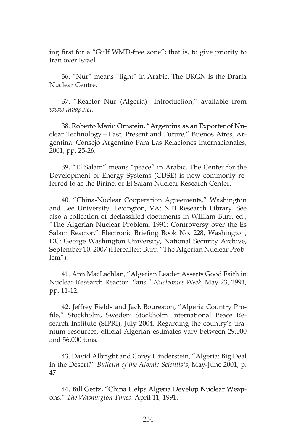ing first for a "Gulf WMD-free zone"; that is, to give priority to Iran over Israel.

36. "Nur" means "light" in Arabic. The URGN is the Draria Nuclear Centre.

37. "Reactor Nur (Algeria)—Introduction," available from *www.invap.net*.

38. Roberto Mario Ornstein, "Argentina as an Exporter of Nuclear Technology—Past, Present and Future," Buenos Aires, Argentina: Consejo Argentino Para Las Relaciones Internacionales, 2001, pp. 25-26.

39. "El Salam" means "peace" in Arabic. The Center for the Development of Energy Systems (CDSE) is now commonly referred to as the Birine, or El Salam Nuclear Research Center.

40. "China-Nuclear Cooperation Agreements," Washington and Lee University, Lexington, VA: NTI Research Library. See also a collection of declassified documents in William Burr, ed., "The Algerian Nuclear Problem, 1991: Controversy over the Es Salam Reactor," Electronic Briefing Book No. 228, Washington, DC: George Washington University, National Security Archive, September 10, 2007 (Hereafter: Burr, "The Algerian Nuclear Problem").

41. Ann MacLachlan, "Algerian Leader Asserts Good Faith in Nuclear Research Reactor Plans," *Nucleonics Week*, May 23, 1991, pp. 11-12.

42. Jeffrey Fields and Jack Boureston, "Algeria Country Profile," Stockholm, Sweden: Stockholm International Peace Research Institute (SIPRI), July 2004. Regarding the country's uranium resources, official Algerian estimates vary between 29,000 and 56,000 tons.

43. David Albright and Corey Hinderstein, "Algeria: Big Deal in the Desert?" *Bulletin of the Atomic Scientists*, May-June 2001, p. 47.

44. Bill Gertz, "China Helps Algeria Develop Nuclear Weapons," *The Washington Times*, April 11, 1991.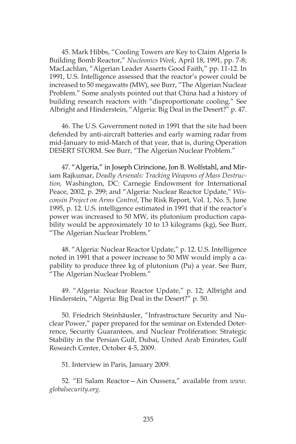45. Mark Hibbs, "Cooling Towers are Key to Claim Algeria Is Building Bomb Reactor," *Nucleonics Week*, April 18, 1991, pp. 7-8; MacLachlan, "Algerian Leader Asserts Good Faith," pp. 11-12. In 1991, U.S. Intelligence assessed that the reactor's power could be increased to 50 megawatts (MW), see Burr, "The Algerian Nuclear Problem." Some analysts pointed out that China had a history of building research reactors with "disproportionate cooling." See Albright and Hinderstein, "Algeria: Big Deal in the Desert?" p. 47.

46. The U.S. Government noted in 1991 that the site had been defended by anti-aircraft batteries and early warning radar from mid-January to mid-March of that year, that is, during Operation DESERT STORM. See Burr, "The Algerian Nuclear Problem."

47. "Algeria," in Joseph Cirincione, Jon B. Wolfstahl, and Miriam Rajkumar, *Deadly Arsenals: Tracking Weapons of Mass Destruction,* Washington, DC: Carnegie Endowment for International Peace, 2002, p. 299; and "Algeria: Nuclear Reactor Update," *Wisconsin Project on Arms Control*, The Risk Report, Vol. 1, No. 5, June 1995, p. 12. U.S. intelligence estimated in 1991 that if the reactor's power was increased to 50 MW, its plutonium production capability would be approximately 10 to 13 kilograms (kg), See Burr, "The Algerian Nuclear Problem."

48. "Algeria: Nuclear Reactor Update," p. 12. U.S. Intelligence noted in 1991 that a power increase to 50 MW would imply a capability to produce three kg of plutonium (Pu) a year. See Burr, "The Algerian Nuclear Problem."

49. "Algeria: Nuclear Reactor Update," p. 12; Albright and Hinderstein, "Algeria: Big Deal in the Desert?" p. 50.

50. Friedrich Steinhäusler, "Infrastructure Security and Nuclear Power," paper prepared for the seminar on Extended Deterrence, Security Guarantees, and Nuclear Proliferation: Strategic Stability in the Persian Gulf, Dubai, United Arab Emirates, Gulf Research Center, October 4-5, 2009.

51. Interview in Paris, January 2009.

52. "El Salam Reactor—Ain Oussera," available from *www. globalsecurity.org*.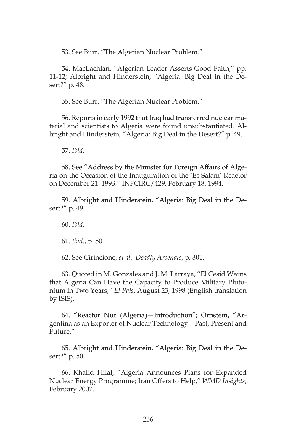53. See Burr, "The Algerian Nuclear Problem."

54. MacLachlan, "Algerian Leader Asserts Good Faith," pp. 11-12; Albright and Hinderstein, "Algeria: Big Deal in the Desert?" p. 48.

55. See Burr, "The Algerian Nuclear Problem."

56. Reports in early 1992 that Iraq had transferred nuclear material and scientists to Algeria were found unsubstantiated. Albright and Hinderstein, "Algeria: Big Deal in the Desert?" p. 49.

57. *Ibid*.

58. See "Address by the Minister for Foreign Affairs of Algeria on the Occasion of the Inauguration of the 'Es Salam' Reactor on December 21, 1993," INFCIRC/429, February 18, 1994.

59. Albright and Hinderstein, "Algeria: Big Deal in the Desert?" p. 49.

60. *Ibid*.

61. *Ibid*., p. 50.

62. See Cirincione, *et al*., *Deadly Arsenals*, p. 301.

63. Quoted in M. Gonzales and J. M. Larraya, "El Cesid Warns that Algeria Can Have the Capacity to Produce Military Plutonium in Two Years," *El Pais*, August 23, 1998 (English translation by ISIS).

64. "Reactor Nur (Algeria)—Introduction"; Ornstein, "Argentina as an Exporter of Nuclear Technology—Past, Present and Future."

65. Albright and Hinderstein, "Algeria: Big Deal in the Desert?" p. 50.

66. Khalid Hilal, "Algeria Announces Plans for Expanded Nuclear Energy Programme; Iran Offers to Help," *WMD Insights*, February 2007.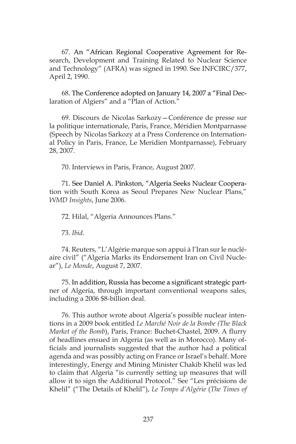67. An "African Regional Cooperative Agreement for Research, Development and Training Related to Nuclear Science and Technology" (AFRA) was signed in 1990. See INFCIRC/377, April 2, 1990.

68. The Conference adopted on January 14, 2007 a "Final Declaration of Algiers" and a "Plan of Action."

69. Discours de Nicolas Sarkozy—Conférence de presse sur la politique internationale, Paris, France, Méridien Montparnasse (Speech by Nicolas Sarkozy at a Press Conference on International Policy in Paris, France, Le Meridien Montparnasse), February 28, 2007.

70. Interviews in Paris, France, August 2007.

71. See Daniel A. Pinkston, "Algeria Seeks Nuclear Cooperation with South Korea as Seoul Prepares New Nuclear Plans," *WMD Insights*, June 2006.

72. Hilal, "Algeria Announces Plans."

73. *Ibid*.

74. Reuters, "L'Algérie marque son appui à l'Iran sur le nucléaire civil" ("Algeria Marks its Endorsement Iran on Civil Nuclear"), *Le Monde*, August 7, 2007.

75. In addition, Russia has become a significant strategic partner of Algeria, through important conventional weapons sales, including a 2006 \$8-billion deal.

76. This author wrote about Algeria's possible nuclear intentions in a 2009 book entitled *Le Marché Noir de la Bombe (The Black Market of the Bomb*), Paris, France: Buchet-Chastel, 2009. A flurry of headlines ensued in Algeria (as well as in Morocco). Many officials and journalists suggested that the author had a political agenda and was possibly acting on France or Israel's behalf. More interestingly, Energy and Mining Minister Chakib Khelil was led to claim that Algeria "is currently setting up measures that will allow it to sign the Additional Protocol." See "Les précisions de Khelil" ("The Details of Khelil"), *Le Temps d'Algérie* (*The Times of*